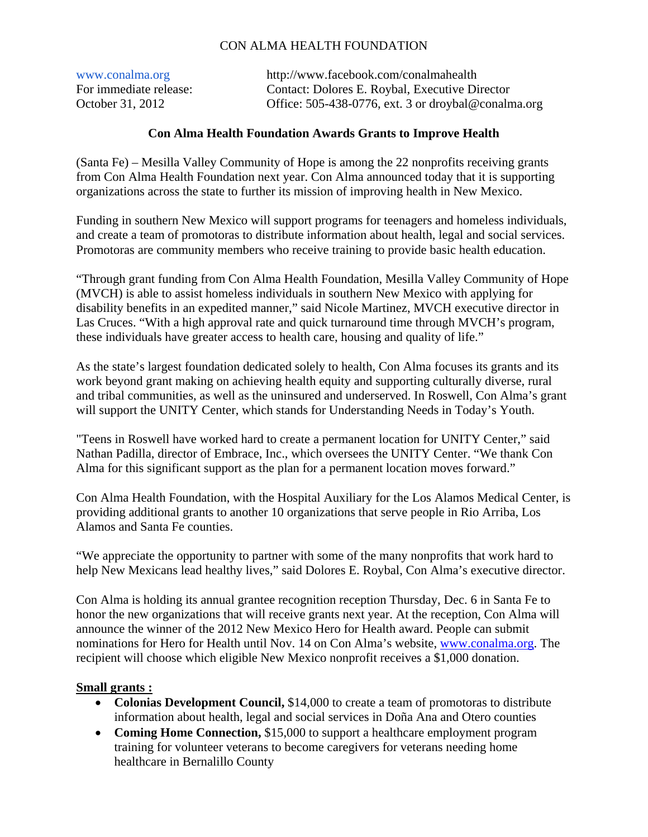## CON ALMA HEALTH FOUNDATION

| www.conalma.org        | http://www.facebook.com/conalmahealth                  |
|------------------------|--------------------------------------------------------|
| For immediate release: | Contact: Dolores E. Roybal, Executive Director         |
| October 31, 2012       | Office: $505-438-0776$ , ext. 3 or droybal@conalma.org |

## **Con Alma Health Foundation Awards Grants to Improve Health**

(Santa Fe) – Mesilla Valley Community of Hope is among the 22 nonprofits receiving grants from Con Alma Health Foundation next year. Con Alma announced today that it is supporting organizations across the state to further its mission of improving health in New Mexico.

Funding in southern New Mexico will support programs for teenagers and homeless individuals, and create a team of promotoras to distribute information about health, legal and social services. Promotoras are community members who receive training to provide basic health education.

"Through grant funding from Con Alma Health Foundation, Mesilla Valley Community of Hope (MVCH) is able to assist homeless individuals in southern New Mexico with applying for disability benefits in an expedited manner," said Nicole Martinez, MVCH executive director in Las Cruces. "With a high approval rate and quick turnaround time through MVCH's program, these individuals have greater access to health care, housing and quality of life."

As the state's largest foundation dedicated solely to health, Con Alma focuses its grants and its work beyond grant making on achieving health equity and supporting culturally diverse, rural and tribal communities, as well as the uninsured and underserved. In Roswell, Con Alma's grant will support the UNITY Center, which stands for Understanding Needs in Today's Youth.

"Teens in Roswell have worked hard to create a permanent location for UNITY Center," said Nathan Padilla, director of Embrace, Inc., which oversees the UNITY Center. "We thank Con Alma for this significant support as the plan for a permanent location moves forward."

Con Alma Health Foundation, with the Hospital Auxiliary for the Los Alamos Medical Center, is providing additional grants to another 10 organizations that serve people in Rio Arriba, Los Alamos and Santa Fe counties.

"We appreciate the opportunity to partner with some of the many nonprofits that work hard to help New Mexicans lead healthy lives," said Dolores E. Roybal, Con Alma's executive director.

Con Alma is holding its annual grantee recognition reception Thursday, Dec. 6 in Santa Fe to honor the new organizations that will receive grants next year. At the reception, Con Alma will announce the winner of the 2012 New Mexico Hero for Health award. People can submit nominations for Hero for Health until Nov. 14 on Con Alma's website, www.conalma.org. The recipient will choose which eligible New Mexico nonprofit receives a \$1,000 donation.

## **Small grants :**

- Colonias Development Council, \$14,000 to create a team of promotoras to distribute information about health, legal and social services in Doña Ana and Otero counties
- **Coming Home Connection,** \$15,000 to support a healthcare employment program training for volunteer veterans to become caregivers for veterans needing home healthcare in Bernalillo County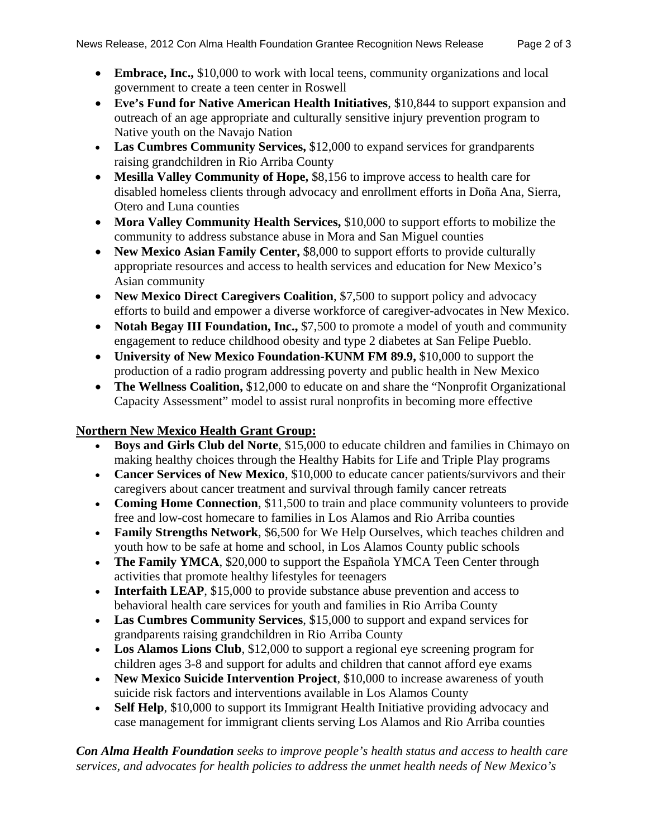- **Embrace, Inc.,** \$10,000 to work with local teens, community organizations and local government to create a teen center in Roswell
- **Eve's Fund for Native American Health Initiatives**, \$10,844 to support expansion and outreach of an age appropriate and culturally sensitive injury prevention program to Native youth on the Navajo Nation
- **Las Cumbres Community Services,** \$12,000 to expand services for grandparents raising grandchildren in Rio Arriba County
- **Mesilla Valley Community of Hope,** \$8,156 to improve access to health care for disabled homeless clients through advocacy and enrollment efforts in Doña Ana, Sierra, Otero and Luna counties
- **Mora Valley Community Health Services,** \$10,000 to support efforts to mobilize the community to address substance abuse in Mora and San Miguel counties
- New Mexico Asian Family Center, \$8,000 to support efforts to provide culturally appropriate resources and access to health services and education for New Mexico's Asian community
- New Mexico Direct Caregivers Coalition, \$7,500 to support policy and advocacy efforts to build and empower a diverse workforce of caregiver-advocates in New Mexico.
- **Notah Begay III Foundation, Inc.,** \$7,500 to promote a model of youth and community engagement to reduce childhood obesity and type 2 diabetes at San Felipe Pueblo.
- **University of New Mexico Foundation-KUNM FM 89.9,** \$10,000 to support the production of a radio program addressing poverty and public health in New Mexico
- The Wellness Coalition, \$12,000 to educate on and share the "Nonprofit Organizational" Capacity Assessment" model to assist rural nonprofits in becoming more effective

## **Northern New Mexico Health Grant Group:**

- **Boys and Girls Club del Norte**, \$15,000 to educate children and families in Chimayo on making healthy choices through the Healthy Habits for Life and Triple Play programs
- **Cancer Services of New Mexico**, \$10,000 to educate cancer patients/survivors and their caregivers about cancer treatment and survival through family cancer retreats
- **Coming Home Connection**, \$11,500 to train and place community volunteers to provide free and low-cost homecare to families in Los Alamos and Rio Arriba counties
- **Family Strengths Network**, \$6,500 for We Help Ourselves, which teaches children and youth how to be safe at home and school, in Los Alamos County public schools
- The Family YMCA, \$20,000 to support the Española YMCA Teen Center through activities that promote healthy lifestyles for teenagers
- **Interfaith LEAP**, \$15,000 to provide substance abuse prevention and access to behavioral health care services for youth and families in Rio Arriba County
- **Las Cumbres Community Services**, \$15,000 to support and expand services for grandparents raising grandchildren in Rio Arriba County
- **Los Alamos Lions Club**, \$12,000 to support a regional eye screening program for children ages 3-8 and support for adults and children that cannot afford eye exams
- **New Mexico Suicide Intervention Project**, \$10,000 to increase awareness of youth suicide risk factors and interventions available in Los Alamos County
- Self Help, \$10,000 to support its Immigrant Health Initiative providing advocacy and case management for immigrant clients serving Los Alamos and Rio Arriba counties

*Con Alma Health Foundation seeks to improve people's health status and access to health care services, and advocates for health policies to address the unmet health needs of New Mexico's*